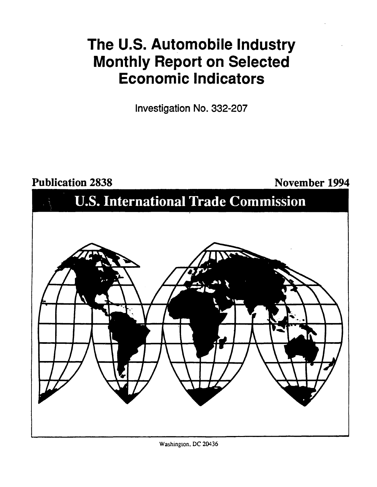# The U.S. Automobile Industry Monthly Report on Selected Economic Indicators

Investigation No. 332-207

# Publication 2838 November 1994 **U.S. International Trade Commission**

Washington. DC 20436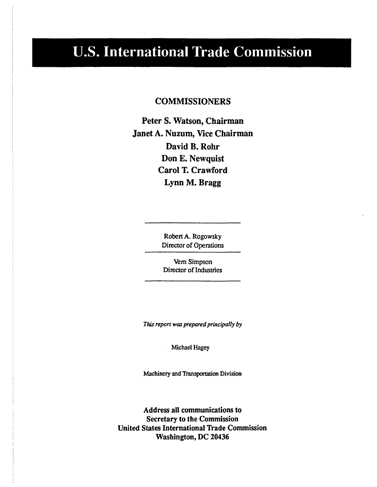# **U.S. International Trade Commission**

# COMMISSIONERS

Peter S. Watson, Chairman Janet A. Nuzum, Vice Chairman David B. Rohr Don E. Newquist Carol T. Crawford Lynn M. Bragg

> Robert A. Rogowsky Director of Operations

Vern Simpson Director of Industries

*This report was prepared principally* by

Michael Hagey

Machinery and Transportation Division

Address all communications to Secretary to the Commission United States International Trade Commission Washington, DC 20436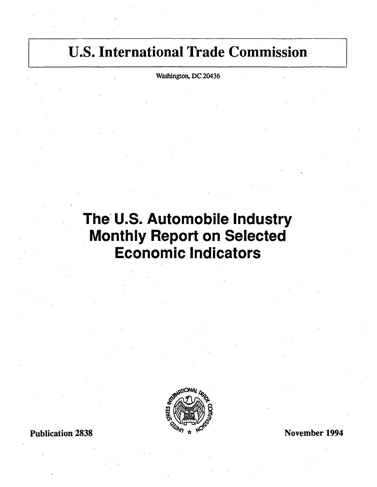# U.S. International Trade Commission

Washington, DC 20436

# The U.S. Automobile Industry Monthly Report on Selected Economic Indicators

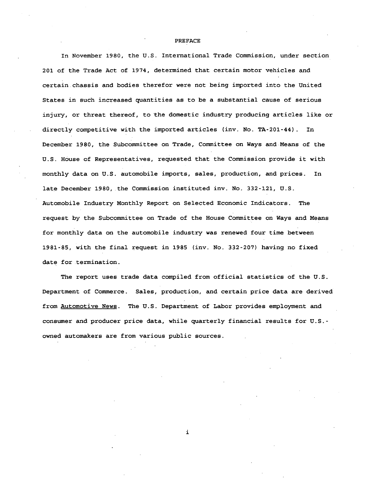### PREFACE

In November 1980, the U.S. International Trade Commission, under section 201 of the Trade Act of 1974, determined that certain motor vehicles and certain chassis and bodies therefor were not being imported into the United States in such increased quantities as to be a substantial cause of serious injury, or threat thereof, to the domestic industry producing articles like or directly competitive with the imported articles (inv. No. TA-201-44). In December 1980, the Subcommittee on Trade, Committee on Ways and Means of the U.S. House of Representatives, requested that the Commission provide it with monthly data on U.S. automobile imports, sales, production, and prices. In late December 1980, the Commission instituted inv. No. 332-121, U.S. Automobile Industry Monthly Report on Selected Economic Indicators. The request by the Subcommittee on Trade of the House Committee on Ways and Means for monthly data on the automobile industry was renewed four time between 1981-85, with the final request in 1985 (inv. No. 332-207) having no fixed date for .termination.

The report uses trade data compiled from official statistics of the U.S. Department of Commerce. Sales, production, and certain price data are derived from Automotive News. The U.S. Department of Labor provides employment and consumer and producer price data, while quarterly financial results for U.S. owned automakers are from various public sources.

i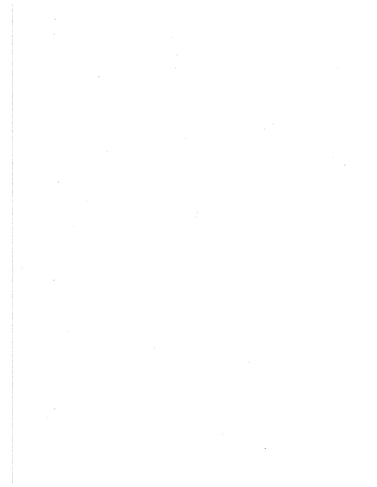$\label{eq:2.1} \mathcal{L}(\mathcal{L}(\mathcal{L})) = \mathcal{L}(\mathcal{L}(\mathcal{L})) = \mathcal{L}(\mathcal{L}(\mathcal{L})) = \mathcal{L}(\mathcal{L}(\mathcal{L}))$  $\mathcal{L}(\mathcal{L}(\mathcal{L}))$  and  $\mathcal{L}(\mathcal{L}(\mathcal{L}))$  . The contribution of  $\mathcal{L}(\mathcal{L})$  $\label{eq:2.1} \frac{1}{\sqrt{2}}\int_{\mathbb{R}^3}\frac{1}{\sqrt{2}}\left(\frac{1}{\sqrt{2}}\right)^2\frac{1}{\sqrt{2}}\left(\frac{1}{\sqrt{2}}\right)^2\frac{1}{\sqrt{2}}\left(\frac{1}{\sqrt{2}}\right)^2\frac{1}{\sqrt{2}}\left(\frac{1}{\sqrt{2}}\right)^2.$ 

 $\label{eq:2.1} \frac{1}{\sqrt{2}}\int_{\mathbb{R}^3}\frac{1}{\sqrt{2}}\left(\frac{1}{\sqrt{2}}\right)^2\frac{1}{\sqrt{2}}\left(\frac{1}{\sqrt{2}}\right)^2\frac{1}{\sqrt{2}}\left(\frac{1}{\sqrt{2}}\right)^2\frac{1}{\sqrt{2}}\left(\frac{1}{\sqrt{2}}\right)^2\frac{1}{\sqrt{2}}\left(\frac{1}{\sqrt{2}}\right)^2\frac{1}{\sqrt{2}}\frac{1}{\sqrt{2}}\frac{1}{\sqrt{2}}\frac{1}{\sqrt{2}}\frac{1}{\sqrt{2}}\frac{1}{\sqrt{2}}$ 

 $\label{eq:2.1} \frac{1}{\sqrt{2}}\int_{\mathbb{R}^3}\frac{1}{\sqrt{2}}\left(\frac{1}{\sqrt{2}}\right)^2\frac{1}{\sqrt{2}}\left(\frac{1}{\sqrt{2}}\right)^2\frac{1}{\sqrt{2}}\left(\frac{1}{\sqrt{2}}\right)^2\frac{1}{\sqrt{2}}\left(\frac{1}{\sqrt{2}}\right)^2\frac{1}{\sqrt{2}}\left(\frac{1}{\sqrt{2}}\right)^2\frac{1}{\sqrt{2}}\frac{1}{\sqrt{2}}\frac{1}{\sqrt{2}}\frac{1}{\sqrt{2}}\frac{1}{\sqrt{2}}\frac{1}{\sqrt{2}}$  $\label{eq:2.1} \frac{1}{\sqrt{2}}\int_{\mathbb{R}^3} \frac{1}{\sqrt{2}}\left(\frac{1}{\sqrt{2}}\right)^2\left(\frac{1}{\sqrt{2}}\right)^2\left(\frac{1}{\sqrt{2}}\right)^2\left(\frac{1}{\sqrt{2}}\right)^2\left(\frac{1}{\sqrt{2}}\right)^2\left(\frac{1}{\sqrt{2}}\right)^2.$  $\label{eq:2.1} \frac{1}{\sqrt{2}}\int_{0}^{\infty}\frac{1}{\sqrt{2}}\left(\frac{1}{\sqrt{2}}\right)^{2}d\mu\int_{0}^{\infty}\frac{1}{\sqrt{2}}\left(\frac{1}{\sqrt{2}}\right)^{2}d\mu\int_{0}^{\infty}\frac{1}{\sqrt{2}}\left(\frac{1}{\sqrt{2}}\right)^{2}d\mu\int_{0}^{\infty}\frac{1}{\sqrt{2}}\left(\frac{1}{\sqrt{2}}\right)^{2}d\mu\int_{0}^{\infty}\frac{1}{\sqrt{2}}\left(\frac{1}{\sqrt{2}}\right)^{2}d\mu\$ 

 $\label{eq:2.1} \frac{1}{\sqrt{2}}\int_{0}^{\infty}\frac{1}{\sqrt{2\pi}}\left(\frac{1}{\sqrt{2\pi}}\right)^{2}d\mu\left(\frac{1}{\sqrt{2\pi}}\right)\frac{d\mu}{d\mu}d\mu\left(\frac{1}{\sqrt{2\pi}}\right).$  $\label{eq:2.1} \frac{1}{\sqrt{2}}\int_{\mathbb{R}^3}\frac{1}{\sqrt{2}}\left(\frac{1}{\sqrt{2}}\right)^2\frac{1}{\sqrt{2}}\left(\frac{1}{\sqrt{2}}\right)^2\frac{1}{\sqrt{2}}\left(\frac{1}{\sqrt{2}}\right)^2.$  $\label{eq:2.1} \frac{1}{2} \sum_{i=1}^n \frac{1}{2} \sum_{j=1}^n \frac{1}{2} \sum_{j=1}^n \frac{1}{2} \sum_{j=1}^n \frac{1}{2} \sum_{j=1}^n \frac{1}{2} \sum_{j=1}^n \frac{1}{2} \sum_{j=1}^n \frac{1}{2} \sum_{j=1}^n \frac{1}{2} \sum_{j=1}^n \frac{1}{2} \sum_{j=1}^n \frac{1}{2} \sum_{j=1}^n \frac{1}{2} \sum_{j=1}^n \frac{1}{2} \sum_{j=1}^n \frac{$ 

 $\label{eq:2.1} \mathcal{L}(\mathcal{L}^{\text{max}}_{\mathcal{L}}(\mathcal{L}^{\text{max}}_{\mathcal{L}})) \leq \mathcal{L}(\mathcal{L}^{\text{max}}_{\mathcal{L}}(\mathcal{L}^{\text{max}}_{\mathcal{L}}))$ 

 $\label{eq:2.1} \frac{1}{\sqrt{2\pi}}\int_{\mathbb{R}^3}\frac{1}{\sqrt{2\pi}}\left(\frac{1}{\sqrt{2\pi}}\right)^2\frac{1}{\sqrt{2\pi}}\int_{\mathbb{R}^3}\frac{1}{\sqrt{2\pi}}\frac{1}{\sqrt{2\pi}}\frac{1}{\sqrt{2\pi}}\frac{1}{\sqrt{2\pi}}\frac{1}{\sqrt{2\pi}}\frac{1}{\sqrt{2\pi}}\frac{1}{\sqrt{2\pi}}\frac{1}{\sqrt{2\pi}}\frac{1}{\sqrt{2\pi}}\frac{1}{\sqrt{2\pi}}\frac{1}{\sqrt{2\pi}}\frac{$  $\mathcal{L}^{\mathcal{L}}$  and  $\mathcal{L}^{\mathcal{L}}$  and  $\mathcal{L}^{\mathcal{L}}$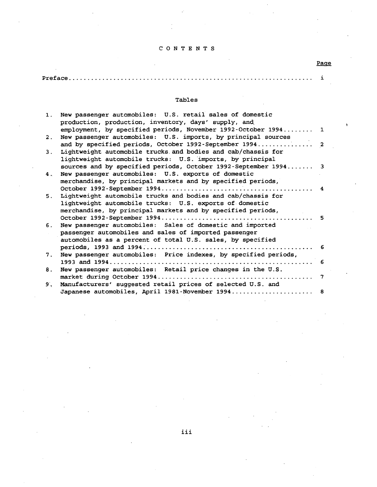# C 0 N T E N T S

# Page

# Tables

| 1.             | New passenger automobiles: U.S. retail sales of domestic<br>production, production, inventory, days' supply, and                |    |
|----------------|---------------------------------------------------------------------------------------------------------------------------------|----|
| 2 <sub>1</sub> | employment, by specified periods, November 1992-October 1994 1<br>New passenger automobiles: U.S. imports, by principal sources |    |
|                |                                                                                                                                 |    |
| 3 <sub>1</sub> | Lightweight automobile trucks and bodies and cab/chassis for                                                                    |    |
|                | lightweight automobile trucks: U.S. imports, by principal                                                                       |    |
|                | sources and by specified periods, October 1992-September 1994 3                                                                 |    |
| 4.             | New passenger automobiles: U.S. exports of domestic                                                                             |    |
|                | merchandise, by principal markets and by specified periods,                                                                     |    |
|                |                                                                                                                                 | 4  |
| 5.             | Lightweight automobile trucks and bodies and cab/chassis for                                                                    |    |
|                | lightweight automobile trucks: U.S. exports of domestic                                                                         |    |
|                | merchandise, by principal markets and by specified periods,                                                                     |    |
|                |                                                                                                                                 | 5  |
| 6.             | New passenger automobiles: Sales of domestic and imported                                                                       |    |
|                | passenger automobiles and sales of imported passenger                                                                           |    |
|                | automobiles as a percent of total U.S. sales, by specified                                                                      |    |
|                |                                                                                                                                 | -6 |
| 7.             | New passenger automobiles: Price indexes, by specified periods,                                                                 |    |
|                |                                                                                                                                 | -6 |
| 8.             | New passenger automobiles: Retail price changes in the U.S.                                                                     |    |
|                |                                                                                                                                 | 7  |
| 9.             | Manufacturers' suggested retail prices of selected U.S. and                                                                     |    |
|                | Japanese automobiles, April 1981-November 1994 8                                                                                |    |
|                |                                                                                                                                 |    |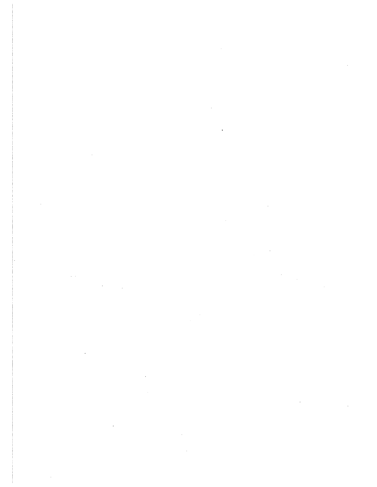$\label{eq:2.1} \frac{1}{\sqrt{2}}\int_{0}^{\infty}\frac{1}{\sqrt{2\pi}}\left(\frac{1}{\sqrt{2\pi}}\right)^{2}d\mu\left(\frac{1}{\sqrt{2\pi}}\right) \frac{d\mu}{\sqrt{2\pi}}\,.$ 

 $\label{eq:2.1} \frac{1}{\sqrt{2}}\sum_{i=1}^n\frac{1}{\sqrt{2}}\sum_{i=1}^n\frac{1}{\sqrt{2}}\sum_{i=1}^n\frac{1}{\sqrt{2}}\sum_{i=1}^n\frac{1}{\sqrt{2}}\sum_{i=1}^n\frac{1}{\sqrt{2}}\sum_{i=1}^n\frac{1}{\sqrt{2}}\sum_{i=1}^n\frac{1}{\sqrt{2}}\sum_{i=1}^n\frac{1}{\sqrt{2}}\sum_{i=1}^n\frac{1}{\sqrt{2}}\sum_{i=1}^n\frac{1}{\sqrt{2}}\sum_{i=1}^n\frac$ 

 $\label{eq:2.1} \mathcal{L}(\mathcal{L}^{\text{max}}_{\mathcal{L}}(\mathcal{L}^{\text{max}}_{\mathcal{L}})) \leq \mathcal{L}(\mathcal{L}^{\text{max}}_{\mathcal{L}}(\mathcal{L}^{\text{max}}_{\mathcal{L}}))$ 

 $\label{eq:2.1} \frac{1}{\sqrt{2}}\int_{\mathbb{R}^3}\frac{1}{\sqrt{2}}\left(\frac{1}{\sqrt{2}}\right)^2\frac{1}{\sqrt{2}}\left(\frac{1}{\sqrt{2}}\right)^2\frac{1}{\sqrt{2}}\left(\frac{1}{\sqrt{2}}\right)^2\frac{1}{\sqrt{2}}\left(\frac{1}{\sqrt{2}}\right)^2.$ 

 $\label{eq:2.1} \frac{1}{2} \sum_{i=1}^n \frac{1}{2} \sum_{i=1}^n \frac{1}{2} \sum_{i=1}^n \frac{1}{2} \sum_{i=1}^n \frac{1}{2} \sum_{i=1}^n \frac{1}{2} \sum_{i=1}^n \frac{1}{2} \sum_{i=1}^n \frac{1}{2} \sum_{i=1}^n \frac{1}{2} \sum_{i=1}^n \frac{1}{2} \sum_{i=1}^n \frac{1}{2} \sum_{i=1}^n \frac{1}{2} \sum_{i=1}^n \frac{1}{2} \sum_{i=1}^n \frac{$ 

> $\label{eq:2.1} \frac{1}{\sqrt{2}}\left(\frac{1}{\sqrt{2}}\right)^{2} \left(\frac{1}{\sqrt{2}}\right)^{2} \left(\frac{1}{\sqrt{2}}\right)^{2} \left(\frac{1}{\sqrt{2}}\right)^{2} \left(\frac{1}{\sqrt{2}}\right)^{2} \left(\frac{1}{\sqrt{2}}\right)^{2} \left(\frac{1}{\sqrt{2}}\right)^{2} \left(\frac{1}{\sqrt{2}}\right)^{2} \left(\frac{1}{\sqrt{2}}\right)^{2} \left(\frac{1}{\sqrt{2}}\right)^{2} \left(\frac{1}{\sqrt{2}}\right)^{2} \left(\$

 $\label{eq:2.1} \frac{1}{\sqrt{2}}\int_{\mathbb{R}^3}\frac{1}{\sqrt{2}}\left(\frac{1}{\sqrt{2}}\right)^2\frac{1}{\sqrt{2}}\left(\frac{1}{\sqrt{2}}\right)^2\frac{1}{\sqrt{2}}\left(\frac{1}{\sqrt{2}}\right)^2\frac{1}{\sqrt{2}}\left(\frac{1}{\sqrt{2}}\right)^2\frac{1}{\sqrt{2}}\left(\frac{1}{\sqrt{2}}\right)^2\frac{1}{\sqrt{2}}\frac{1}{\sqrt{2}}\frac{1}{\sqrt{2}}\frac{1}{\sqrt{2}}\frac{1}{\sqrt{2}}\frac{1}{\sqrt{2}}$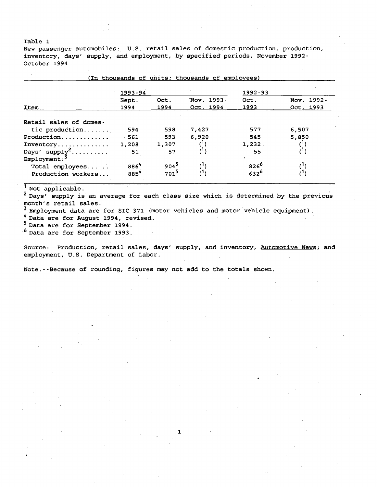New passenger automobiles: U.S. retail sales of domestic production, production, inventory, days' supply, and employment, by specified periods, November 1992- 0ctober 1994

|                         | 1993-94          |           |             | 1992-93   |            |
|-------------------------|------------------|-----------|-------------|-----------|------------|
|                         | Sept.            | Oct.      | Nov. 1993-  | Oct.      | Nov. 1992- |
| Item                    | 1994             | 1994      | Oct. 1994   | 1993      | Oct. 1993  |
| Retail sales of domes-  |                  |           |             |           |            |
| tic production          | 594              | 598       | 7,427       | 577       | 6,507      |
| Production              | - 561            | 593       | 6,920       | 545       | 5,850      |
| Inventory               | 1,208            | 1,307     | $^{\prime}$ | $1,232$ . |            |
| Days' $\text{supp1y}^2$ | 51               | 57        |             | 55        |            |
| Employment:             |                  |           |             |           |            |
| Total employees         | 886 <sup>4</sup> | $904^{5}$ | $^{(1)}$    | $826^{6}$ |            |
| Production workers      | 885 <sup>4</sup> | $701^{5}$ |             | $632^{6}$ |            |

Not applicable.<br><sup>2</sup> Days' supply is an average for each class size which is determined by the previous month's retail sales.

<sup>3</sup> Employment data are for SIC 371 (motor vehicles and motor vehicle equipment).<br><sup>4</sup> Data are for August 1994, revised.

5 Data are for September 1994.

6 Data are for September 1993 ..

Source: Production, retail sales, days' supply, and inventory, Automotive News; and employment, U.S. Department of Labor.

1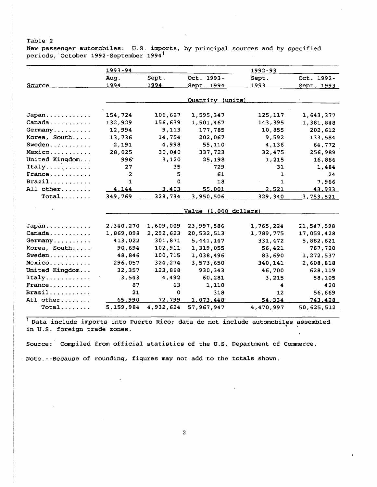New passenger automobiles: U.S. imports, by principal sources and by specified periods, October 1992-September 1994<sup>1</sup>

|                                        | <u> 1993-94</u> |                |                       | 1992-93      |            |  |  |
|----------------------------------------|-----------------|----------------|-----------------------|--------------|------------|--|--|
|                                        | Aug.            | Sept.          | Oct. 1993-            | Sept.        | Oct. 1992- |  |  |
| Source                                 | <u> 1994 </u>   | 1994           | Sept. 1994            | 1993         | Sept. 1993 |  |  |
|                                        |                 |                |                       |              |            |  |  |
|                                        |                 |                | Quantity (units)      |              |            |  |  |
| Japan                                  | 154,724         | 106,627        | 1,595,347             | 125,117      | 1,643,377  |  |  |
| Canada.                                | 132,929         | 156,639        | 1,501,467             | 143,395      | 1,381,848  |  |  |
| Germany                                | 12,994          | 9,113          | 177,785               | 10,855       | 202,612    |  |  |
| Korea, South                           | 13,736          | 14,754         | 202,067               | 9,592        | 133,584    |  |  |
| Sweden                                 | 2,191           | 4,998          | 55,110                | 4,136        | 64,772     |  |  |
| $Mexico$                               | 28,025          | 30,040         | 337,723               | 32,475       | 256,989    |  |  |
| United Kingdom                         | 996'            | 3,120          | 25,198                | 1,215        | 16,866     |  |  |
| Italy                                  | 27              | 35             | 729                   | 31           | 1,484      |  |  |
| $France \ldots \ldots \ldots$          | $\mathbf{z}$    | 5              | 61                    | 1            | 24         |  |  |
| $\texttt{Brazil} \ldots \ldots \ldots$ | $\mathbf{1}$    | $\Omega$       | 18                    | $\mathbf{1}$ | 7,966      |  |  |
| All other                              | 4,144           | 3,403          | 55,001                | 2,521        | 43,993     |  |  |
| $Total$                                | 349,769         | <u>328,734</u> | 3,950,506             | 329,340      | 3,753,521  |  |  |
|                                        |                 |                |                       |              |            |  |  |
|                                        |                 |                | Value (1,000 dollars) |              |            |  |  |
| Japan                                  | 2,340,270       | 1,609,009      | 23,997,586            | 1,765,224    | 21,547,598 |  |  |
| Canada                                 | 1,869,098       | 2,292,623      | 20,532,513            | 1,789,775    | 17,059,428 |  |  |
| Germany                                | 413,022         | 301,871        | 5, 441, 147           | 331,472      | 5,882,621  |  |  |
| Korea, South                           | 90,694          | 102,911        | 1,319,055             | 56,421       | 767,720    |  |  |
| $S$ weden                              | 48,846          | 100,715        | 1,038,496             | 83,690       | 1,272,537  |  |  |
| Mexico                                 | 296,057         | 324,274        | 3,573,650             | 340,141      | 2,608,818  |  |  |
| United Kingdom                         | 32,357          | 123,868        | 930,343               | 46,700       | 628,119    |  |  |
| Italy                                  | 3,543           | 4,492          | 60,281                | 3,215        | 58,105     |  |  |
| $France \dots \dots \dots$             | 87              | 63             | 1,110                 | 4            | 420        |  |  |
| $\texttt{Brazil}$                      | 21              | 0              | 318                   | 12           | 56,669     |  |  |
| All other                              | 65,990          | 72,799         | 1,073,448             | 54.334       | 743,428    |  |  |
| Total                                  | 5,159,984       | 4,932,624      | 57,967,947            | 4,470,997    | 50,625,512 |  |  |

Data include imports into Puerto Rico; data do not include automobiles assembled in U.S. foreign trade zones.

Source: Compiled from official statistics of the U.S. Department of Commerce.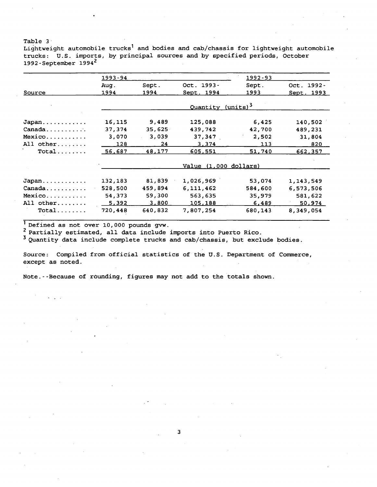### Table 3·

Lightweight automobile trucks<sup>1</sup> and bodies and cab/chassis for lightweight automobile trucks: U.S. imports, by principal sources and by specified periods, October 1992-September 1994<sup>2</sup>

|                       | 1993-94               |         | $1992 - 93$                   |         |                   |  |  |  |
|-----------------------|-----------------------|---------|-------------------------------|---------|-------------------|--|--|--|
|                       | Aug.                  | Sept.   | Oct. 1993-                    | Sept.   | Oct. 1992-        |  |  |  |
| Source                | 1994                  | 1994    | Sept. 1994                    | 1993    | <u>Sept. 1993</u> |  |  |  |
|                       |                       |         | Ouantity (units) <sup>3</sup> |         |                   |  |  |  |
| Japan                 | 16,115                | 9,489   | 125,088                       | 6,425   | 140,502           |  |  |  |
| Canada.               | 37,374                | 35,625  | 439,742                       | 42,700  | 489,231           |  |  |  |
| Mexico                | 3,070                 | 3,039   | 37,347                        | 2,502   | 31,804            |  |  |  |
| All other             | 128                   | 24      | 3,374                         | 113     | 820               |  |  |  |
| $Total \ldots \ldots$ | 56,687                | 48,177  | 605,551                       | 51,740  | 662,357           |  |  |  |
|                       | Value (1,000 dollars) |         |                               |         |                   |  |  |  |
| Japan                 | 132,183               | 81,839  | 1,026,969                     | 53,074  | 1,143,549         |  |  |  |
| Canada                | 528,500               | 459,894 | 6,111,462                     | 584,600 | 6,573,506         |  |  |  |
| Mexico                | 54,373                | 59,300  | 563,635                       | 35,979  | 581,622           |  |  |  |
| All other             | 5,392                 | 3,800   | 105,188                       | 6,489   | 50,974            |  |  |  |
| $Total$               | 720,448               | 640,832 | 7,807,254                     | 680,143 | 8,349,054         |  |  |  |

Defined as not over 10,000 pounds gvw.<br><sup>2</sup> Partially estimated, all data include imports into Puerto Rico.

3 Quantity data include complete trucks and cab/chassis, but exclude bodies.

Source: Compiled from official statistics of the U.S. Department of Commerce, except as noted.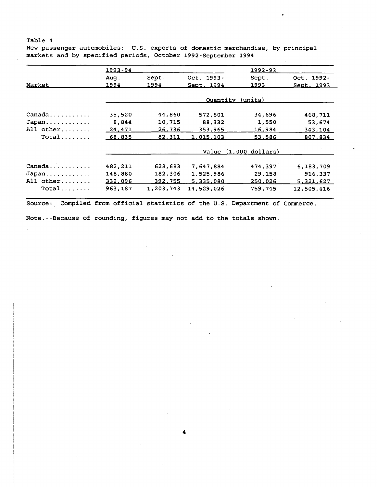New passenger automobiles: U.S. exports of domestic merchandise, by principal markets and by specified periods, October 1992-September 1994

|           | 1993-94 |           |            | 1992-93               |            |  |
|-----------|---------|-----------|------------|-----------------------|------------|--|
|           | Aug.    | Sept.     | Oct. 1993- | Sept.                 | Oct. 1992- |  |
| Market    | 1994    | 1994      | Sept. 1994 | 1993                  | Sept. 1993 |  |
|           |         |           | Ouantity   | (units)               |            |  |
| Canada.   | 35,520  | 44,860    | 572,801    | 34,696                | 468,711    |  |
| Japan     | 8,844   | 10,715    | 88,332     | 1,550                 | 53,674     |  |
| All other | 24,471  | 26,736    | 353,965    | 16,984                | 343,104    |  |
| $Total$   | 68,835  | 82,311    | 1,015,103  | 53,586                | 807,834    |  |
|           |         |           |            | Value (1,000 dollars) |            |  |
| Canada    | 482,211 | 628,683   | 7,647,884  | 474,397               | 6,183,709  |  |
| Japan     | 148,880 | 182,306   | 1,525,986  | 29,158                | 916,337    |  |
| All other | 332,096 | 392,755   | 5,335,080  | 250,026               | 5,321,627  |  |
| $Total$   | 963,187 | 1,203,743 | 14,529,026 | 759,745               | 12,505,416 |  |

Source: Compiled from official statistics of the U.S. Department of Commerce.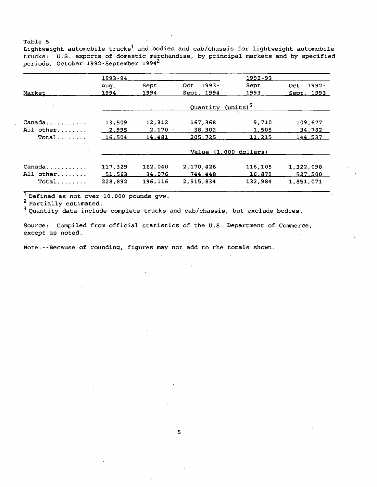Lightweight automobile trucks<sup>1</sup> and bodies and cab/chassis for lightweight automobile trucks: U.S. exports of domestic merchandise, by principal markets and by specified periods, October 1992-September 1994<sup>2</sup>

|                | 1993-94                    |         | 1992-93                       |         |            |  |  |  |
|----------------|----------------------------|---------|-------------------------------|---------|------------|--|--|--|
|                | Aug.                       | Sept.   | Oct. 1993-                    | Sept.   | Oct. 1992- |  |  |  |
| Market         | 1994                       | 1994    | Sept. 1994                    | 1993    | Sept. 1993 |  |  |  |
|                |                            |         | Quantity (units) <sup>3</sup> |         |            |  |  |  |
| Canada.        | 13,509                     | 12,312  | 167,368                       | 9,710   | 109,677    |  |  |  |
| All other      | 2,995                      | 2,170   | 38,302                        | 1,505   | 34,782     |  |  |  |
| $Total$        | 16,504                     | 14,481  | 205,725                       | 11,215  | 144,537    |  |  |  |
|                | $(1,000$ dollars)<br>Value |         |                               |         |            |  |  |  |
| Canada         | 117,329                    | 162,040 | 2,170,426                     | 116,105 | 1,322,098  |  |  |  |
| All other      | 51,563                     | 34,076  | 744,448                       | 16,879  | 527,500    |  |  |  |
| $Total \ldots$ | 228,892                    | 196.116 | 2,915,834                     | 132,984 | 1,851,071  |  |  |  |

The fined as not over 10,000 pounds gvw.<br>
<sup>2</sup> Partially estimated.

3 Quantity data include complete trucks and cab/chassis, but exclude bodies.

Source: Compiled from official statistics of the U.S. Department of Commerce, except as noted.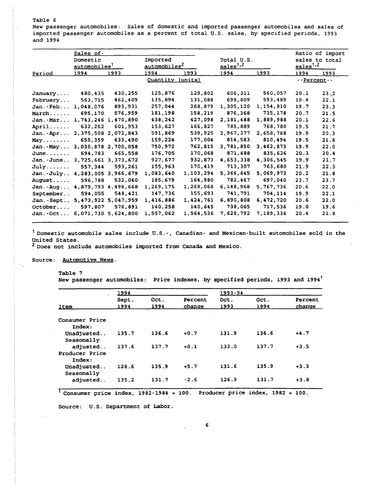New passenger automobiles: Sales of domestic and imported passenger automobiles and sales of imported passenger automobiles as a percent of total U.S. sales, by specified periods, 1993 and 1994

|                                     | Sales of-                |         |                          |           |                      |           |                      | Ratio of import |
|-------------------------------------|--------------------------|---------|--------------------------|-----------|----------------------|-----------|----------------------|-----------------|
|                                     | Domestic                 |         | Imported                 |           | Total U.S.           |           |                      | sales to total  |
|                                     | automobiles <sup>1</sup> |         | automobiles <sup>2</sup> |           | sales <sup>1,2</sup> |           | sales <sup>1,2</sup> |                 |
| Period                              | <u> 1994 </u>            | 1993    | 1994                     | 1993      | <u> 1994 - </u>      | 1993      | 1994                 | 1993            |
|                                     |                          |         | Quantity (units)         |           |                      |           | --Percent--          |                 |
| January                             | 480,435                  | 430,255 | 125,876                  | 129,802   | 606,311              | 560,057   | 20.1                 | 23.2            |
| February                            | 563,715                  | 462,409 | 135,894                  | 131,088   | 698,809              | 593,489   | 19.4                 | 22.1            |
| Jan.-Feb 1,048,076                  |                          | 893,931 | 257,044                  | 268,879   | 1,305,120            | 1,154,810 | 19.7                 | 23.3            |
| $March \dots \dots$                 | 695,170                  | 576,959 | 181,198                  | 158,219   | 876,368              | 735,178   | 20.7                 | 21.5            |
| Jan. - Mar 1, 743, 246 1, 470, 890  |                          |         | 438,242                  | 427,098   | 2,181,488            | 1,889,988 | 20.1                 | 22.6            |
| April                               | 632,262                  | 601,953 | 153,627                  | 166,827   | 785,889              | 768,780   | 19.5                 | 21.7            |
| Jan. - Apr 2, 375, 508 2, 072, 843  |                          |         | 591,869                  | 539,925   | 2,967,377            | 2,658,768 | 19.9                 | 20.3            |
| May.                                | 655,359                  | 633,490 | 159,224                  | 177,004   | 814,583              | 810,494   | 19.5                 | 21.8            |
| Jan. - May 3, 030, 878 2, 700, 058  |                          |         | 750,972                  | 762,815   | 3,781,850            | 3,462,873 | 19.9                 | 22.0            |
| $June \dots \dots$                  | 694,783                  | 665,558 | 176,705                  | 170,068   | 871,488              | 835,626   | 20.3                 | 20.4            |
| Jan. - June 3, 725, 661 3, 373, 672 |                          |         | 927,677                  | 932,873   | 4,653,338            | 4,306,545 | 19.9                 | 21.7            |
| July.                               | 557,344                  | 593,261 | 155,963                  | 170,419   | 713,307              | 763,680   | 21.9                 | 22.3            |
| Jan.-July 4, 283, 005 3, 966, 679   |                          |         | 1,083,640                | 1,103,294 | 5,366,645            | 5,069,973 | 20.2                 | 21.8            |
| August                              | 596,788                  | 532,060 | 185,679                  | 164,980   | 782,467              | 697,040   | 23.7                 | 23.7            |
| Jan.-Aug 4,879,793 4,498,668        |                          |         | 1,269,175                | 1,269,068 | 6,148,968            | 5,767,736 | 20.6                 | 22.0            |
| September                           | 594,055                  | 548,421 | 147,736                  | 155,693   | 741,791              | 704,114   | 19.9                 | 22.1            |
| Jan.-Sept 5, 473, 922 5, 047, 959   |                          |         | 1,416,886                | 1,424,761 | 6,890,808            | 6,472,720 | 20.6                 | 22.0            |
| October                             | 597,807                  | 576,891 | 140,258                  | 140,645   | 738,065              | 717,536   | 19.0                 | 19.6            |
| Jan.-Oct 6,071,730 5,624,800        |                          |         | 1,557,062                | 1,564,536 | 7,628,792            | 7,189,336 | 20.4                 | 21.8            |

1 Domestic automobile sales include U.S.-, Canadian- and Mexican-built automobiles solq in the United States.

2 Does not include automobiles imported from Canada and Mexico.

### Source: Automotive News.

Table 7 New passenger automobiles: Price indexes, by specified periods, 1993 and 1994 <sup>1</sup>

|                                      | 1994  |       |         | $1993 - 94$ |       |         |  |  |
|--------------------------------------|-------|-------|---------|-------------|-------|---------|--|--|
|                                      | Sept. | Oct.  | Percent | Oct.        | Oct.  | Percent |  |  |
| <u>Item</u>                          | 1994  | 1994  | change  | 1993        | 1994  | change  |  |  |
| Consumer Price<br>Index:             |       |       |         |             |       |         |  |  |
| Unadjusted<br>Seasonally             | 135.7 | 136.6 | $+0.7$  | 131.9       | 136.6 | $+4.7$  |  |  |
| adjusted<br>Producer Price<br>Index: | 137.6 | 137.7 | $+0.1$  | 133.0       | 137.7 | $+3.5$  |  |  |
| Unadjusted<br>Seasonally             | 128.6 | 135.9 | $+5.7$  | 131.6       | 135.9 | $+3.3$  |  |  |
| adjusted                             | 135.2 | 131.7 | $-2.6$  | 126.9       | 131.7 | $+3.8$  |  |  |

 $\frac{1}{1}$  Consumer price index, 1982-1984 = 100. Producer price index, 1982 = 100.

Source: U.S. Department of Labor.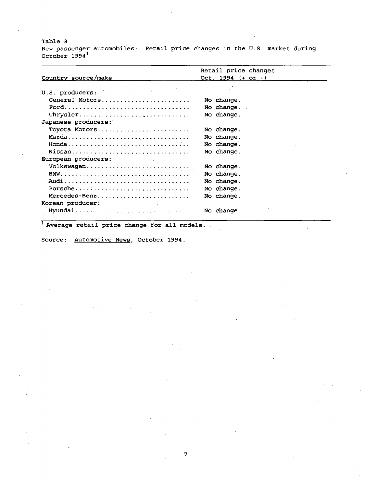New passenger automobiles: Retail price changes in the U.S. market during October 1994<sup>1</sup>

|                                                                                                                     | Retail price changes |
|---------------------------------------------------------------------------------------------------------------------|----------------------|
| Country source/make                                                                                                 | $Oct. 1994 (+ or -)$ |
|                                                                                                                     |                      |
| $\mathcal{O}(\mathcal{O}_\mathcal{O})$ , and the set of the set of the $\mathcal{O}_\mathcal{O}$<br>U.S. producers: |                      |
| General Motors                                                                                                      | No change.           |
| Ford                                                                                                                | No change.           |
| $Chrysler \ldots \ldots \ldots \ldots \ldots \ldots \ldots \ldots$                                                  | No change.           |
| Japanese producers:                                                                                                 |                      |
| Toyota Motors                                                                                                       | No change.           |
| Mazda                                                                                                               | No change.           |
| $\texttt{Honda} \dots \dots \dots \dots \dots \dots \dots \dots \dots \dots \dots$                                  | No change.           |
| Nissan                                                                                                              | No change.           |
| European producers:                                                                                                 |                      |
| Volkswagen                                                                                                          | No change.           |
|                                                                                                                     | No change.           |
|                                                                                                                     | No change.           |
| Porsche                                                                                                             | No change.           |
| Mercedes-Benz                                                                                                       | No change.           |
| Korean producer:                                                                                                    |                      |
| Hyundai                                                                                                             | No change.           |

Average retail price change for all models.

Source: Automotive News, October 1994.

7